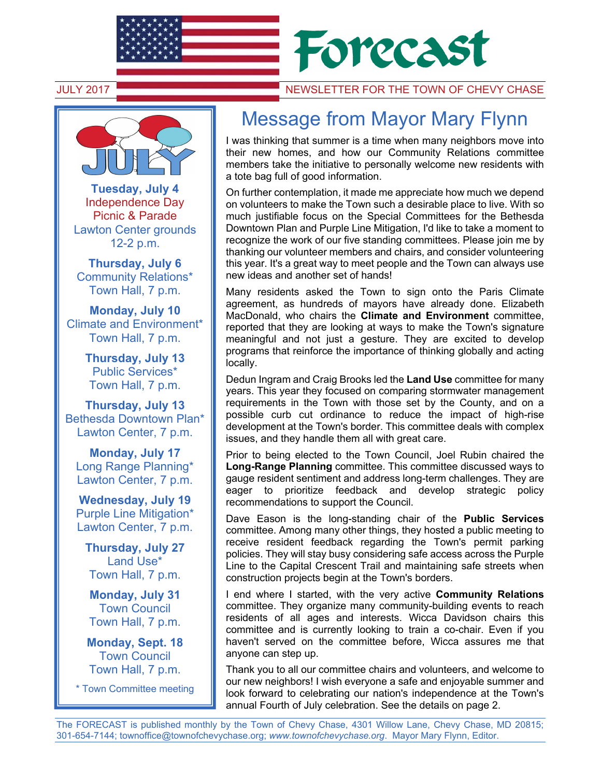



**Tuesday, July 4** Independence Day Picnic & Parade Lawton Center grounds 12-2 p.m.

**Thursday, July 6** Community Relations\* Town Hall, 7 p.m.

**Monday, July 10** Climate and Environment\* Town Hall, 7 p.m.

> **Thursday, July 13**  Public Services\* Town Hall, 7 p.m.

**Thursday, July 13**  Bethesda Downtown Plan\* Lawton Center, 7 p.m.

**Monday, July 17**  Long Range Planning\* Lawton Center, 7 p.m.

**Wednesday, July 19**  Purple Line Mitigation\* Lawton Center, 7 p.m.

**Thursday, July 27**  Land Use\* Town Hall, 7 p.m.

**Monday, July 31**  Town Council Town Hall, 7 p.m.

**Monday, Sept. 18**  Town Council Town Hall, 7 p.m.

\* Town Committee meeting

## JULY 2017 NEWSLETTER FOR THE TOWN OF CHEVY CHASE

## Message from Mayor Mary Flynn

I was thinking that summer is a time when many neighbors move into their new homes, and how our Community Relations committee members take the initiative to personally welcome new residents with a tote bag full of good information.

On further contemplation, it made me appreciate how much we depend on volunteers to make the Town such a desirable place to live. With so much justifiable focus on the Special Committees for the Bethesda Downtown Plan and Purple Line Mitigation, I'd like to take a moment to recognize the work of our five standing committees. Please join me by thanking our volunteer members and chairs, and consider volunteering this year. It's a great way to meet people and the Town can always use new ideas and another set of hands!

Many residents asked the Town to sign onto the Paris Climate agreement, as hundreds of mayors have already done. Elizabeth MacDonald, who chairs the **Climate and Environment** committee, reported that they are looking at ways to make the Town's signature meaningful and not just a gesture. They are excited to develop programs that reinforce the importance of thinking globally and acting locally.

Dedun Ingram and Craig Brooks led the **Land Use** committee for many years. This year they focused on comparing stormwater management requirements in the Town with those set by the County, and on a possible curb cut ordinance to reduce the impact of high-rise development at the Town's border. This committee deals with complex issues, and they handle them all with great care.

Prior to being elected to the Town Council, Joel Rubin chaired the **Long-Range Planning** committee. This committee discussed ways to gauge resident sentiment and address long-term challenges. They are eager to prioritize feedback and develop strategic policy recommendations to support the Council.

Dave Eason is the long-standing chair of the **Public Services**  committee. Among many other things, they hosted a public meeting to receive resident feedback regarding the Town's permit parking policies. They will stay busy considering safe access across the Purple Line to the Capital Crescent Trail and maintaining safe streets when construction projects begin at the Town's borders.

I end where I started, with the very active **Community Relations**  committee. They organize many community-building events to reach residents of all ages and interests. Wicca Davidson chairs this committee and is currently looking to train a co-chair. Even if you haven't served on the committee before, Wicca assures me that anyone can step up.

Thank you to all our committee chairs and volunteers, and welcome to our new neighbors! I wish everyone a safe and enjoyable summer and look forward to celebrating our nation's independence at the Town's annual Fourth of July celebration. See the details on page 2.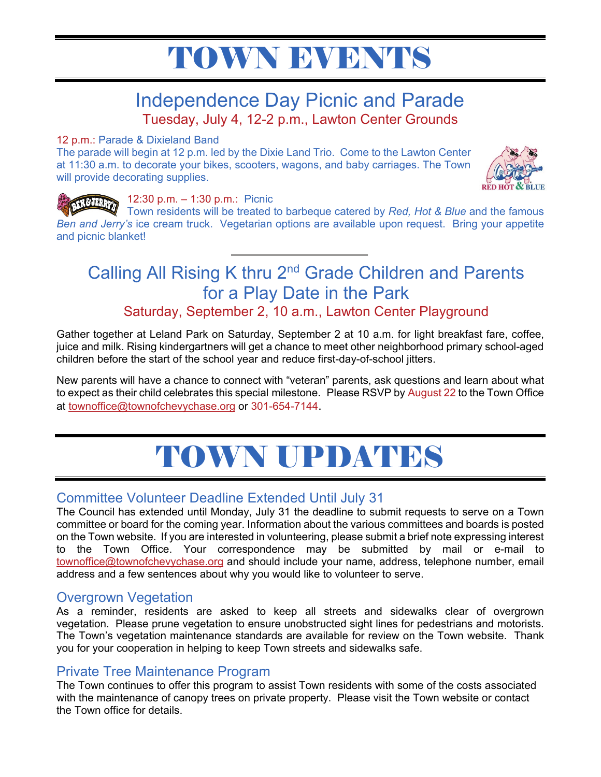# TOWN EWENTS

### Independence Day Picnic and Parade Tuesday, July 4, 12-2 p.m., Lawton Center Grounds

#### 12 p.m.: Parade & Dixieland Band

The parade will begin at 12 p.m. led by the Dixie Land Trio. Come to the Lawton Center at 11:30 a.m. to decorate your bikes, scooters, wagons, and baby carriages. The Town will provide decorating supplies.



#### 12:30 p.m. – 1:30 p.m.: Picnic

Town residents will be treated to barbeque catered by *Red, Hot & Blue* and the famous *Ben and Jerry's* ice cream truck. Vegetarian options are available upon request. Bring your appetite and picnic blanket!

# Calling All Rising K thru 2<sup>nd</sup> Grade Children and Parents for a Play Date in the Park

Saturday, September 2, 10 a.m., Lawton Center Playground

Gather together at Leland Park on Saturday, September 2 at 10 a.m. for light breakfast fare, coffee, juice and milk. Rising kindergartners will get a chance to meet other neighborhood primary school-aged children before the start of the school year and reduce first-day-of-school jitters.

New parents will have a chance to connect with "veteran" parents, ask questions and learn about what to expect as their child celebrates this special milestone. Please RSVP by August 22 to the Town Office at townoffice@townofchevychase.org or 301-654-7144.



#### Committee Volunteer Deadline Extended Until July 31

The Council has extended until Monday, July 31 the deadline to submit requests to serve on a Town committee or board for the coming year. Information about the various committees and boards is posted on the Town website. If you are interested in volunteering, please submit a brief note expressing interest to the Town Office. Your correspondence may be submitted by mail or e-mail to townoffice@townofchevychase.org and should include your name, address, telephone number, email address and a few sentences about why you would like to volunteer to serve.

#### Overgrown Vegetation

As a reminder, residents are asked to keep all streets and sidewalks clear of overgrown vegetation. Please prune vegetation to ensure unobstructed sight lines for pedestrians and motorists. The Town's vegetation maintenance standards are available for review on the Town website. Thank you for your cooperation in helping to keep Town streets and sidewalks safe.

#### Private Tree Maintenance Program

The Town continues to offer this program to assist Town residents with some of the costs associated with the maintenance of canopy trees on private property. Please visit the Town website or contact the Town office for details.